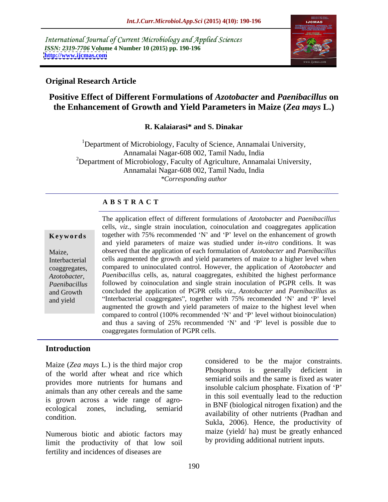International Journal of Current Microbiology and Applied Sciences *ISSN: 2319-7706* **Volume 4 Number 10 (2015) pp. 190-196 <http://www.ijcmas.com>**



## **Original Research Article**

# **Positive Effect of Different Formulations of** *Azotobacter* **and** *Paenibacillus* **on the Enhancement of Growth and Yield Parameters in Maize (***Zea mays* **L.)**

## **R. Kalaiarasi\* and S. Dinakar**

<sup>1</sup>Department of Microbiology, Faculty of Science, Annamalai University, Annamalai Nagar-608 002, Tamil Nadu, India <sup>2</sup>Department of Microbiology, Faculty of Agriculture, Annamalai University, Annamalai Nagar-608 002, Tamil Nadu, India *\*Corresponding author*

## **A B S T R A C T**

*Azotobacter*, and yield

The application effect of different formulations of *Azotobacter* and *Paenibacillus*  cells, *viz*., single strain inoculation, coinoculation and coaggregates application **Keywords** together with 75% recommended 'N' and 'P' level on the enhancement of growth and yield parameters of maize was studied under *in-vitro* conditions. It was observed that the application of each formulation of *Azotobacter* and *Paenibacillus*  Maize, cells augmented the growth and yield parameters of maize to a higher level when Interbacterial compared to uninoculated control. However, the application of *Azotobacter* and coaggregates, *Paenibacillus* cells, as, natural coaggregates, exhibited the highest performance followed by coinoculation and single strain inoculation of PGPR cells. It was *Paenibacillus* concluded the application of PGPR cells *viz*., *Azotobacter* and *Paenibacillus* as and Growth "Interbacterial coaggregates", together with  $75\%$  recomended 'N' and 'P' level augmented the growth and yield parameters of maize to the highest level when compared to control (100% recommended 'N' and 'P' level without bioinoculation) and thus a saving of  $25\%$  recommended 'N' and 'P' level is possible due to coaggregates formulation of PGPR cells.

# **Introduction**

Maize (*Zea mays* L.) is the third major crop of the world after wheat and ricewhich provides more nutrients for humans and animals than any other cereals and the same is grown across a wide range of agro ecological zones, including, semiarid in ENT (biological intogen invation) and the

Numerous biotic and abiotic factors may limit the productivity of that low soil fertility and incidences of diseases are

condition. considered to be the major constraints. Phosphorus is generally deficient in semiarid soils and the same is fixed as water insoluble calcium phosphate. Fixation of 'P' in this soil eventually lead to the reduction in BNF (biological nitrogen fixation) and the availability of other nutrients (Pradhan and Sukla, 2006). Hence, the productivity of maize (yield/ ha) must be greatly enhanced by providing additional nutrient inputs.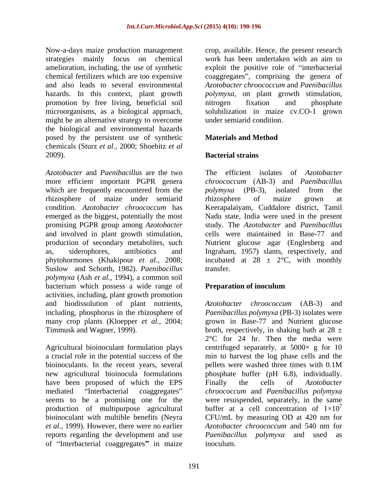Now-a-days maize production management strategies mainly focus on chemical work has been undertaken with an aim to amelioration, including, the use of synthetic exploit the positive role of "interbacterial chemical fertilizers which are too expensive coaggregates", comprising the genera of and also leads to several environmental *Azotobacter chroococcum* and *Paenibacillus* hazards. In this context, plant growth *polymyxa*, on plant growth stimulation, promotion by free living, beneficial soil microorganisms, as a biological approach, solubilization in maize cv.CO-1 grown might be an alternative strategy to overcome the biological and environmental hazards posed by the persistent use of synthetic chemicals (Sturz *et al.,* 2000; Shoebitz *et al* 2009). **Bacterial strains** 

*Azotobacter* and *Paenibacillus* are the two The efficient isolates of *Azotobacter*  more efficient important PGPR genera *chroococcum* (AB-3) and *Paenibacillus*  which are frequently encountered from the *polymyxa* (PB-3), isolated from the rhizosphere of maize under semiarid condition. *Azotobacter chroococcum* has Keerapalaiyam, Cuddalore district, Tamil emerged as the biggest, potentially the most Nadu state, India were used in the present promising PGPR group among *Azotobacter* and involved in plant growth stimulation, cells were maintained in Base-77 and production of secondary metabolites, such Nutrient glucose agar (Englesberg and as, siderophores, antibiotics and Ingraham, 1957) slants, respectively, and phytohormones (Khakipour *et al.,* 2008; incubated at 28 ± 2°C, with monthly Suslow and Schorth, 1982). *Paenibacillus polymyxa* (Ash *et al.,* 1994)*,* a common soil bacterium which possess a wide range of **Preparation of inoculum** activities, including, plant growth promotion and biodissolution of plant nutrients, *Azotobacter chroococcum* (AB-3) and including, phosphorus in the rhizosphere of *Paenibacillus polymyxa* (PB-3) isolates were many crop plants (Kloepper *et al.,* 2004; grown in Base-77 and Nutrient glucose

Agricultural bioinoculant formulation plays a crucial role in the potential success of the min to harvest the log phase cells and the bioinoculants. In the recent years, several pellets were washed three times with  $0.1M$ new agricultural bioinocula formulations phosphate buffer (pH 6.8), individually. have been proposed of which the EPS Finally the cells of Azotobacter mediated Interbacterial coaggregates *chroococcum* and *Paenibacillus polymyxa* seems to be a promising one for the were resuspended, separately, in the same production of multipurpose agricultural buffer at a cell concentration of  $1\times10'$ bioinoculant with multible benefits (Neyra CFU/mL by measuring OD at 420 nm for *et al.,* 1999). However, there were no earlier reports regarding the development and use *Paenibacillus polymyxa* and used as of "Interbacterial coaggregates" in maize

crop, available. Hence, the present research nitrogen fixation and phosphate under semiarid condition.

# **Materials and Method**

# **Bacterial strains**

*polymyxa* (PB-3), isolated from the rhizosphere of maize grown at study. The *Azotobacter* and *Paenibacillus* transfer.

# **Preparation of inoculum**

Timmusk and Wagner, 1999).  $\blacksquare$  broth, respectively, in shaking bath at 28  $\pm$ 2°C for 24 hr. Then the media were centrifuged separately, at  $5000 \times g$  for 10 pellets were washed three times with 0.1M Finally the cells of *Azotobacter* 7 *Azotobacter chroococcum* and 540 nm for inoculum.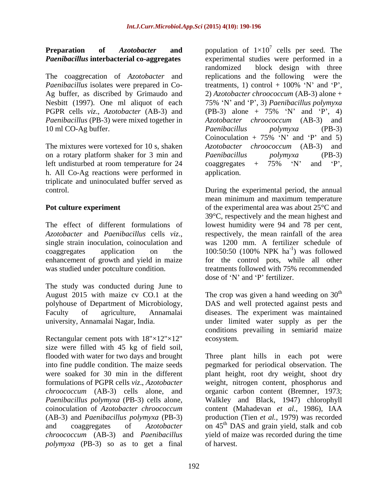# **Preparation** of *Azotobacter* and population of  $1\times10^7$  cells per seed. The

The coaggrecation of *Azotobacter* and *Paenibacillus* isolates were prepared in Co-<br>treatments, 1) control + 100% 'N' and 'P', *Paenibacillus* (PB-3) were mixed together in 10 ml CO-Ag buffer. The real parameter of the *Paenibacillus* polymyxa (PB-3)

on a rotary platform shaker for 3 min and Paenibacillus polymyxa (PB-3) left undisturbed at room temperature for 24 coaggregates  $+$  75%  $\gamma$  and  $\gamma$ . h. All Co-Ag reactions were performed in triplicate and uninoculated buffer served as

The effect of different formulations of lowest humidity were 94 and 78 per cent,<br>Azotobacter and Paenibacillus cells viz., respectively, the mean rainfall of the area

The study was conducted during June to

Rectangular cement pots with  $18" \times 12" \times 12"$  ecosystem. size were filled with 45 kg of field soil, *polymyxa* (PB-3) so as to get a final

*Paenibacillus* **interbacterial co-aggregates** experimental studies were performed in a Ag buffer, as discribed by Grimaudo and 2) *Azotobacter chroococcum* (AB-3) alone + Nesbitt (1997). One ml aliquot of each 75% 'N' and 'P', 3) *Paenibacillus polymyxa* PGPR cells *viz*., *Azotobacter* (AB-3) and (PB-3) alone + 75% 'N' and 'P', 4) The mixtures were vortexed for 10 s, shaken *Azotobacter chroococcum* (AB-3) and cells per seed. The randomized block design with three replications and the following were the treatments, 1) control  $+$  100%  $\gamma$  and  $\gamma$ , *Azotobacter chroococcum* (AB-3) and *Paenibacillus polymyxa* (PB-3) Coinoculation + 75% 'N' and 'P' and 5) *Paenibacillus polymyxa* (PB-3) coaggregates + 75% 'N' and 'P',<br>application.

control. During the experimental period, the annual **Pot culture experiment** of the experimental area was about 25<sup>°</sup>C and *Azotobacter* and *Paenibacillus* cells *viz*., respectively, the mean rainfall of the area single strain inoculation, coinoculation and vas 1200 mm. A fertilizer schedule of coaggregates application on the  $100:50:50$  (100% NPK ha<sup>-1</sup>) was followed enhancement of growth and yield in maize for the control pots, while all other was studied under potculture condition. treatments followed with 75% recommended mean minimum and maximum temperature 39°C, respectively and the mean highest and lowest humidity were <sup>94</sup> and <sup>78</sup> per cent, respectively, the mean rainfall of the area was 1200 mm. A fertilizer schedule of  $^{-1}$  we followed ) was followed dose of 'N' and 'P' fertilizer.

August 2015 with maize cv CO.1 at the The crop was given a hand weeding on  $30<sup>th</sup>$ polyhouse of Department of Microbiology, DAS and well protected against pests and Faculty of agriculture, Annamalai diseases. The experiment was maintained university, Annamalai Nagar, India. The under limited water supply as per the th conditions prevailing in semiarid maize ecosystem.

flooded with water for two days and brought Three plant hills in each pot were into fine puddle condition. The maize seeds pegmarked for periodical observation. The were soaked for 30 min in the different plant height, root dry weight, shoot dry formulations of PGPR cells *viz*., *Azotobacter* weight, nitrogen content, phosphorus and *chroococcum* (AB-3) cells alone, and organic carbon content (Bremner, 1973; *Paenibacillus polymyxa* (PB-3) cells alone, Walkley and Black, 1947) chlorophyll coinoculation of *Azotobacter chroococcum*  content (Mahadevan *et al.,* 1986), IAA (AB-3) and *Paenibacillus polymyxa* (PB-3) production (Tien *et al.,* 1979) was recorded and coaggregates of *Azotobacter* on 45<sup>th</sup> DAS and grain yield, stalk and cob *chroococcum* (AB-3) and *Paenibacillus* yield of maize was recorded during the time of harvest.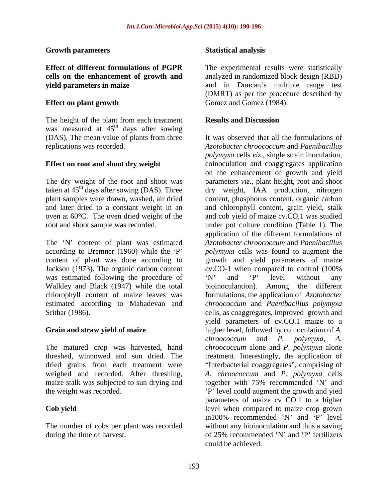## **Growth parameters**

The height of the plant from each treatment **Results and Discussion** was measured at  $45<sup>th</sup>$  days after sowing <sup>th</sup> days after sowing (DAS). The mean value of plants from three

The 'N' content of plant was estimated Jackson (1973). The organic carbon content cv.CO-1 when compared to control (100%) was estimated following the procedure of  $N'$  and  $P'$  level without any Walkley and Black (1947) while the total bioinoculantion). Among the different

weighed and recorded. After threshing,

The number of cobs per plant was recorded during the time of harvest. of 25% recommended 'N' and 'P' fertilizers

## **Statistical analysis**

**Effect of different formulations of PGPR** The experimental results were statistically **cells on the enhancement of growth and** analyzed in randomized block design (RBD) **yield parameters in maize** and in Duncan's multiple range test **Effect on plant growth** Gomez and Gomez (1984). (DMRT) as per the procedure described by Gomez and Gomez (1984).

## **Results and Discussion**

replications was recorded. *Azotobacter chroococcum* and *Paenibacillus* **Effect on root and shoot dry weight** coinoculation and coaggregates application The dry weight of the root and shoot was parameters *viz*., plant height, root and shoot taken at 45<sup>th</sup> days after sowing (DAS). Three dry weight, IAA production, nitrogen plant samples were drawn, washed, air dried content, phosphorus content, organic carbon and later dried to a constant weight in an and chlorophyll content, grain yield, stalk oven at 60°C. The oven dried weight of the and cob yield of maize cv.CO.1 was studied root and shoot sample was recorded. under pot culture condition (Table 1). The according to Bremner (1960) while the 'P' polymyxa cells was found to augment the content of plant was done according to growth and yield parameters of maize chlorophyll content of maize leaves was formulations, the application of *Azotobacter* estimated according to Mahadevan and *chroococcum* and *Paenibacillus polymyxa* Srithar (1986). cells, as coaggregates, improved growth and **Grain and straw yield of maize**  higher level, followed by coinoculation of *A.* The matured crop was harvested, hand *chroococcum* alone and *P*. *polymyxa* alone threshed, winnowed and sun dried. The treatment. Interestingly, the application of dried grains from each treatment were "Interbacterial coaggregates", comprising of maize stalk was subjected to sun drying and together with 75% recommended 'N' and the weight was recorded. P level could augment the growth and yied **Cob yield** level when compared to maize crop grown It was observed that all the formulations of *polymyxa* cells *viz*., single strain inoculation, on the enhancement of growth and yield application of the different formulations of *Azotobacter chroococcum* and *Paenibacillus* cv.CO-1 when compared to control (100% N' and 'P' level without any bioinoculantion). Among the different yield parameters of cv.CO.1 maize to a *chroococcum* and *P. polymyxa*, *A. A. chroococcum* and *P. polymyxa* cells parameters of maize cv CO.1 to a higher in100% recommended  $'N'$  and  $'P'$  level without any bioinoculation and thus a saving of 25% recommended  $'N'$  and  $'P'$  fertilizers could be achieved.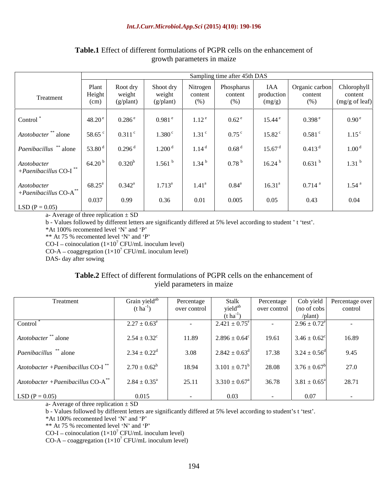|                                                    | Sampling time after 45th DAS |                                 |                                  |                             |                              |                             |                                  |                                          |
|----------------------------------------------------|------------------------------|---------------------------------|----------------------------------|-----------------------------|------------------------------|-----------------------------|----------------------------------|------------------------------------------|
| Treatment                                          | Plant<br>Height<br>(cm)      | Root dry<br>weight<br>(g/plant) | Shoot dry<br>weight<br>(g/plant) | Nitrogen<br>content<br>(% ) | Phospharus<br>content<br>(%) | IAA<br>production<br>(mg/g) | Organic carbon<br>content<br>(%) | Chlorophyll<br>content<br>(mg/g of leaf) |
| Control <sup>*</sup>                               | 48.20 <sup>e</sup>           | 0.286e                          | $0.981$ <sup>e</sup>             | 1.12 <sup>e</sup>           | $0.62^{\circ}$               | $15.44^{\circ}$             | 0.398 e                          | 0.90 <sup>e</sup>                        |
| Azotobacter <sup>**</sup> alone                    | 58.65                        | $0.311$ <sup>c</sup>            | 1.380 <sup>c</sup>               | 1.31 <sup>c</sup>           | $0.75$ <sup>c</sup>          | $15.82$ <sup>c</sup>        | $0.581$ <sup>c</sup>             | $1.15^{\circ}$                           |
| Paenibacillus ** alone                             | 53.80 $^{\rm d}$             | $0.296$ <sup>d</sup>            | 1.200 <sup>d</sup>               | 1.14 <sup>d</sup>           | 0.68 <sup>d</sup>            | 15.67 <sup>d</sup>          | 0.413 <sup>d</sup>               | 1.00 <sup>d</sup>                        |
| Azotobacter<br>$+ Paenibacillus$ CO-I $^{**}$      | 64.20                        | $0.320^{b}$                     | 1.561 <sup>b</sup>               | 1.34 <sup>b</sup>           | $0.78^{\mathrm{t}}$          | 16.24 <sup>b</sup>          | 0.631 h                          | 1.31 <sup>b</sup>                        |
| Azotobacter<br>+Paenibacillus $CO-A$ <sup>**</sup> | $68.25^{\circ}$              | $0.342^{\rm a}$                 | $1.713^a$                        | $1.41^{\circ}$              | $0.84^{\rm a}$               | $16.31^{\circ}$             | $0.714$ <sup>a</sup>             | $1.54$ <sup>a</sup>                      |
| $LSD (P = 0.05)$                                   | 0.037                        | 0.99                            | 0.36                             | 0.01                        | 0.005                        | 0.05                        | 0.43                             | 0.04                                     |

## **Table.1** Effect of different formulations of PGPR cells on the enhancement of growth parameters in maize

a- Average of three replication  $\pm$  SD

b - Values followed by different letters are significantly differed at 5% level according to student 't 'test'.

 $*$ At 100% recomented level 'N' and 'P'

 $**$  At 75 % recomented level 'N' and 'P'

CO-I – coinoculation  $(1 \times 10^7 \text{ CFU/mL}$  inoculum level)

 $CO-A - coaggregation (1\times10^7 CFU/mL inoculum level)$ 

DAS- day after sowing

## **Table.2** Effect of different formulations of PGPR cells on the enhancement of yield parameters in maize

| Treatment                                        | Grain yield <sup>ab</sup>  | Percentage   | Stalk                 | Percentage   |                         | Cob yield   Percentage over |
|--------------------------------------------------|----------------------------|--------------|-----------------------|--------------|-------------------------|-----------------------------|
|                                                  | $(t \text{ ha}^{-1})$      | over control | yield <sup>ab</sup>   | over control | (no of cobs             | control                     |
|                                                  |                            |              | $(t \text{ ha}^{-1})$ |              | $\theta$ lant           |                             |
| Control                                          | $2.27 \pm 0.63^e$          |              | $2.421 \pm 0.75^e$    |              | $2.96 \pm 0.72^e$       |                             |
|                                                  |                            |              |                       |              |                         |                             |
| Azotobacter <sup>**</sup> alone                  | $2.54 \pm 0.32^c$          | 11.89        | $2.896 \pm 0.64^c$    | 19.61        | $3.46 \pm 0.62^{\circ}$ | 16.89                       |
|                                                  |                            |              |                       |              |                         |                             |
| Paenibacillus ** alone                           | $2.34 \pm 0.22^{\rm d}$    | 3.08         | $2.842 \pm 0.63^d$    | 17.38        | $3.24 \pm 0.56^{\circ}$ | 9.45                        |
| $Azotobacter + Paenibacillus CO-I$ <sup>**</sup> | $2.70 \pm 0.62^b$          | 18.94        | $3.101 \pm 0.71^b$    | 28.08        | $3.76 \pm 0.67^b$       | 27.0                        |
|                                                  |                            |              |                       |              |                         |                             |
| $Azotobacter + Paenibacillus CO-A$ <sup>*</sup>  | $2.84 \pm 0.35^{\text{a}}$ | 25.11        | $3.310 \pm 0.67^a$    | 36.78        | $3.81 \pm 0.65^{\circ}$ | 28.71                       |
|                                                  |                            |              |                       |              |                         |                             |
| $LSD (P = 0.05)$                                 | 0.015                      |              | 0.03                  |              | 0.07                    |                             |

a- Average of three replication  $\pm$  SD

b - Values followed by different letters are significantly differed at 5% level according to student's t 'test'.<br>\*At 100% recomented level 'N' and 'P'

 $*$ At 100% recomented level 'N' and 'P'

 $**$  At 75 % recomented level 'N' and 'P'

CO-I – coinoculation  $(1 \times 10^7 \text{ CFU/mL}$  inoculum level)

 $CO-A - coaggregation (1\times10^7 CFU/mL inoculum level)$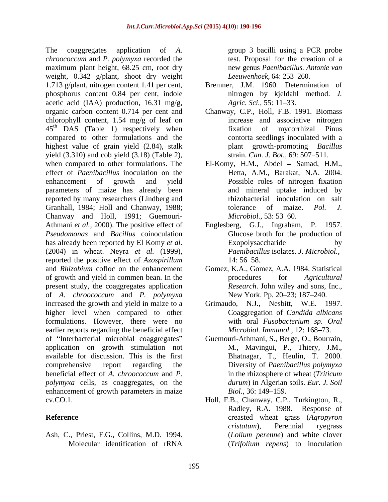The coaggregates application of *A.* group 3 bacilli using a PCR probe *chroococcum* and *P. polymyxa* recorded the maximum plant height, 68.25 cm, root dry new genus *Paenibacillus*. Antonie van weight, 0.342 g/plant, shoot dry weight Leeuwenhoek, 64: 253–260. 1.713 g/plant, nitrogen content 1.41 per cent, phosphorus content 0.84 per cent, indole acetic acid (IAA) production,  $16.31 \text{ mg/g}$ , Agric. Sci., 55: 11–33. organic carbon content 0.714 per cent and Chanway, C.P., Holl, F.B. 1991. Biomass chlorophyll content, 1.54 mg/g of leaf on  $45<sup>th</sup>$  DAS (Table 1) respectively when fixation of mycorrhizal Pinus compared to other formulations and the highest value of grain yield (2.84), stalk yield  $(3.310)$  and cob yield  $(3.18)$  (Table 2), when compared to other formulations. The El-Komy, H.M., Abdel – Samad, H.M., effect of *Paenibacillus* inoculation on the enhancement of growth and yield Possible roles of nitrogen fixation parameters of maize has already been reported by many researchers (Lindberg and Granhall, 1984; Holl and Chanway, 1988; tolerance of maize. Pol. J. Chanway and Holl, 1991; Guemouri- *Microbiol.*, 53: 53–60. Athmani *et al.,* 2000). The positive effect of Englesberg, G.J., Ingraham, P. 1957. *Pseudomonas* and *Bacillus* coinoculation has already been reported by El Komy *et al.* (2004) in wheat. Neyra *et al.* (1999), reported the positive effect of *Azospirillum* and *Rhizobium* cofloc on the enhancement Gomez, K.A., Gomez, A.A. 1984. Statistical of growth and yield in commen bean. In the the procedures for *Agricultural* present study, the coaggregates application of *A. chroococcum* and *P. polymyxa* increased the growth and yield in maize to a Grimaudo, N.J., Nesbitt, W.E. 1997. higher level when compared to other formulations. However, there were no with oral Fusobacterium sp. Oral earlier reports regarding the beneficial effect of Interbacterial microbial coaggregates Guemouri-Athmani, S., Berge, O., Bourrain, application on growth stimulation not available for discussion. This is the first comprehensive report regarding the Diversity of *Paenibacillus polymyxa* beneficial effect of *A. chroococcum* and *P. polymyxa* cells, as coaggregates, on the enhancement of growth parameters in maize *Biol.*, 36: 149–159.

Ash, C., Priest, F.G., Collins, M.D. 1994.

test. Proposal for the creation of a new genus *Paenibacillus*. *Antonie van Leeuwenhoek,* 64: 253 260.

- Bremner, J.M. 1960. Determination of nitrogen by kjeldahl method. *J. Agric. Sci.,* 55: 11–33.
- increase and associative nitrogen fixation of mycorrhizal Pinus contorta seedlings inoculated with a plant growth-promoting *Bacillus* strain. *Can. J. Bot.*, 69: 507-511.
- Hetta, A.M., Barakat, N.A. 2004. and mineral uptake induced by rhizobacterial inoculation on salt tolerance of maize. *Pol. J. Microbiol.,* 53: 53–60.
- Glucose broth for the production of Exopolysaccharide by *Paenibacillus* isolates. *J. Microbiol.,* 14: 56–58.
- procedures for *Agricultural Research*. John wiley and sons, Inc., New York. Pp. 20–23; 187–240.
- Coaggregation of *Candida albicans* with oral *Fusobacterium sp*. *Oral Microbiol. Immunol.,* 12: 168–73.
- M., Mavingui, P., Thiery, J.M., Bhatnagar, T., Heulin, T. 2000. in the rhizosphere of wheat (*Triticum durum*) in Algerian soils. *Eur. J. Soil Biol.,* 36: 149–159.
- cv.CO.1. Holl, F.B., Chanway, C.P., Turkington, R., **Reference** creasted wheat grass (*Agropyron*  Molecular identification of rRNA (*Trifolium repens*) to inoculation Radley, R.A. 1988. Response of *cristatum*), Perennial ryegrass (*Lolium perenne*) and white clover (*Trifolium repens*) to inoculation